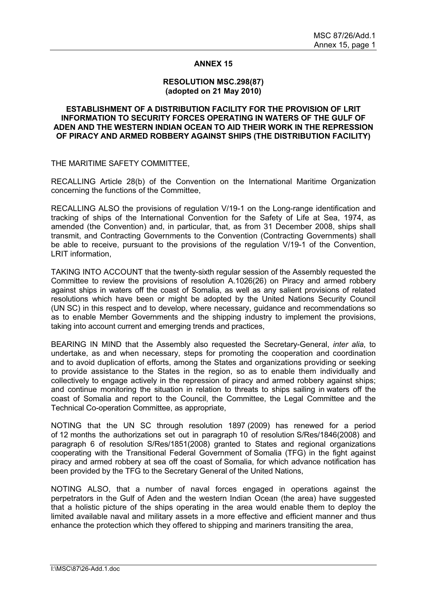## **ANNEX 15**

## **RESOLUTION MSC.298(87) (adopted on 21 May 2010)**

## **ESTABLISHMENT OF A DISTRIBUTION FACILITY FOR THE PROVISION OF LRIT INFORMATION TO SECURITY FORCES OPERATING IN WATERS OF THE GULF OF ADEN AND THE WESTERN INDIAN OCEAN TO AID THEIR WORK IN THE REPRESSION OF PIRACY AND ARMED ROBBERY AGAINST SHIPS (THE DISTRIBUTION FACILITY)**

THE MARITIME SAFETY COMMITTEE,

RECALLING Article 28(b) of the Convention on the International Maritime Organization concerning the functions of the Committee,

RECALLING ALSO the provisions of regulation V/19-1 on the Long-range identification and tracking of ships of the International Convention for the Safety of Life at Sea, 1974, as amended (the Convention) and, in particular, that, as from 31 December 2008, ships shall transmit, and Contracting Governments to the Convention (Contracting Governments) shall be able to receive, pursuant to the provisions of the regulation V/19-1 of the Convention, LRIT information,

TAKING INTO ACCOUNT that the twenty-sixth regular session of the Assembly requested the Committee to review the provisions of resolution A.1026(26) on Piracy and armed robbery against ships in waters off the coast of Somalia, as well as any salient provisions of related resolutions which have been or might be adopted by the United Nations Security Council (UN SC) in this respect and to develop, where necessary, guidance and recommendations so as to enable Member Governments and the shipping industry to implement the provisions, taking into account current and emerging trends and practices,

BEARING IN MIND that the Assembly also requested the Secretary-General, *inter alia*, to undertake, as and when necessary, steps for promoting the cooperation and coordination and to avoid duplication of efforts, among the States and organizations providing or seeking to provide assistance to the States in the region, so as to enable them individually and collectively to engage actively in the repression of piracy and armed robbery against ships; and continue monitoring the situation in relation to threats to ships sailing in waters off the coast of Somalia and report to the Council, the Committee, the Legal Committee and the Technical Co-operation Committee, as appropriate,

NOTING that the UN SC through resolution 1897 (2009) has renewed for a period of 12 months the authorizations set out in paragraph 10 of resolution S/Res/1846(2008) and paragraph 6 of resolution S/Res/1851(2008) granted to States and regional organizations cooperating with the Transitional Federal Government of Somalia (TFG) in the fight against piracy and armed robbery at sea off the coast of Somalia, for which advance notification has been provided by the TFG to the Secretary General of the United Nations,

NOTING ALSO, that a number of naval forces engaged in operations against the perpetrators in the Gulf of Aden and the western Indian Ocean (the area) have suggested that a holistic picture of the ships operating in the area would enable them to deploy the limited available naval and military assets in a more effective and efficient manner and thus enhance the protection which they offered to shipping and mariners transiting the area,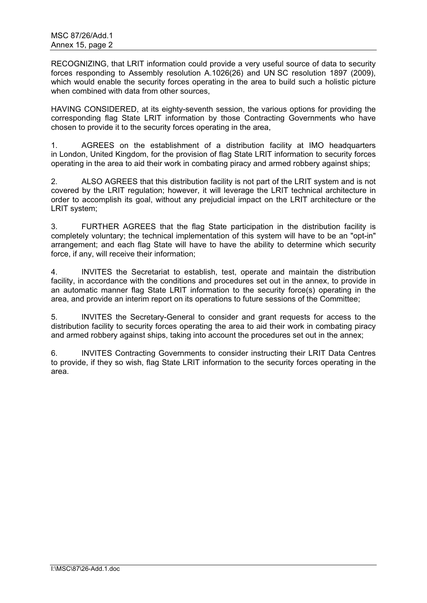RECOGNIZING, that LRIT information could provide a very useful source of data to security forces responding to Assembly resolution A.1026(26) and UN SC resolution 1897 (2009), which would enable the security forces operating in the area to build such a holistic picture when combined with data from other sources.

HAVING CONSIDERED, at its eighty-seventh session, the various options for providing the corresponding flag State LRIT information by those Contracting Governments who have chosen to provide it to the security forces operating in the area,

1. AGREES on the establishment of a distribution facility at IMO headquarters in London, United Kingdom, for the provision of flag State LRIT information to security forces operating in the area to aid their work in combating piracy and armed robbery against ships;

2. ALSO AGREES that this distribution facility is not part of the LRIT system and is not covered by the LRIT regulation; however, it will leverage the LRIT technical architecture in order to accomplish its goal, without any prejudicial impact on the LRIT architecture or the LRIT system;

3. FURTHER AGREES that the flag State participation in the distribution facility is completely voluntary; the technical implementation of this system will have to be an "opt-in" arrangement; and each flag State will have to have the ability to determine which security force, if any, will receive their information;

4. INVITES the Secretariat to establish, test, operate and maintain the distribution facility, in accordance with the conditions and procedures set out in the annex, to provide in an automatic manner flag State LRIT information to the security force(s) operating in the area, and provide an interim report on its operations to future sessions of the Committee;

5. INVITES the Secretary-General to consider and grant requests for access to the distribution facility to security forces operating the area to aid their work in combating piracy and armed robbery against ships, taking into account the procedures set out in the annex;

6. INVITES Contracting Governments to consider instructing their LRIT Data Centres to provide, if they so wish, flag State LRIT information to the security forces operating in the area.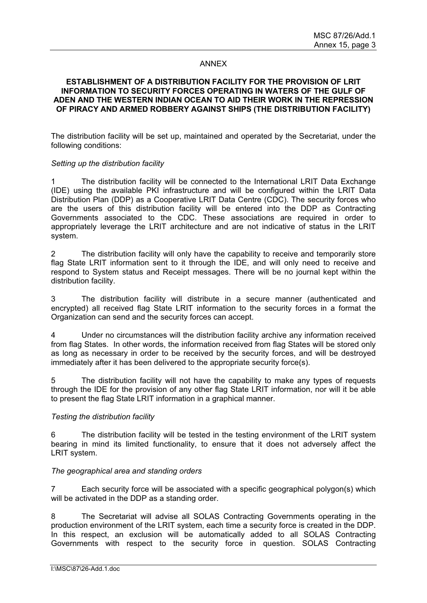## ANNEX

## **ESTABLISHMENT OF A DISTRIBUTION FACILITY FOR THE PROVISION OF LRIT INFORMATION TO SECURITY FORCES OPERATING IN WATERS OF THE GULF OF ADEN AND THE WESTERN INDIAN OCEAN TO AID THEIR WORK IN THE REPRESSION OF PIRACY AND ARMED ROBBERY AGAINST SHIPS (THE DISTRIBUTION FACILITY)**

The distribution facility will be set up, maintained and operated by the Secretariat, under the following conditions:

#### *Setting up the distribution facility*

1 The distribution facility will be connected to the International LRIT Data Exchange (IDE) using the available PKI infrastructure and will be configured within the LRIT Data Distribution Plan (DDP) as a Cooperative LRIT Data Centre (CDC). The security forces who are the users of this distribution facility will be entered into the DDP as Contracting Governments associated to the CDC. These associations are required in order to appropriately leverage the LRIT architecture and are not indicative of status in the LRIT system.

2 The distribution facility will only have the capability to receive and temporarily store flag State LRIT information sent to it through the IDE, and will only need to receive and respond to System status and Receipt messages. There will be no journal kept within the distribution facility.

3 The distribution facility will distribute in a secure manner (authenticated and encrypted) all received flag State LRIT information to the security forces in a format the Organization can send and the security forces can accept.

4 Under no circumstances will the distribution facility archive any information received from flag States. In other words, the information received from flag States will be stored only as long as necessary in order to be received by the security forces, and will be destroyed immediately after it has been delivered to the appropriate security force(s).

5 The distribution facility will not have the capability to make any types of requests through the IDE for the provision of any other flag State LRIT information, nor will it be able to present the flag State LRIT information in a graphical manner.

### *Testing the distribution facility*

6 The distribution facility will be tested in the testing environment of the LRIT system bearing in mind its limited functionality, to ensure that it does not adversely affect the LRIT system.

### *The geographical area and standing orders*

7 Each security force will be associated with a specific geographical polygon(s) which will be activated in the DDP as a standing order.

8 The Secretariat will advise all SOLAS Contracting Governments operating in the production environment of the LRIT system, each time a security force is created in the DDP. In this respect, an exclusion will be automatically added to all SOLAS Contracting Governments with respect to the security force in question. SOLAS Contracting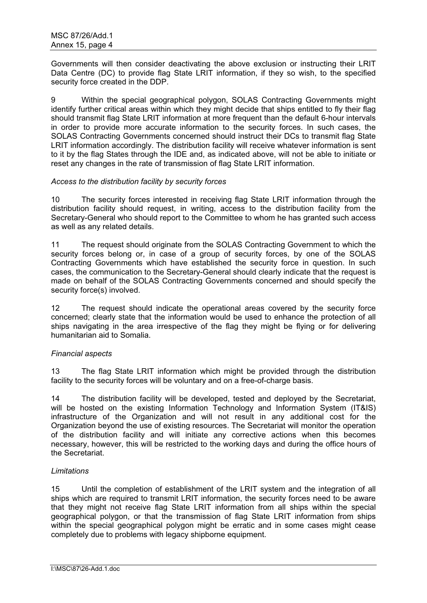Governments will then consider deactivating the above exclusion or instructing their LRIT Data Centre (DC) to provide flag State LRIT information, if they so wish, to the specified security force created in the DDP.

9 Within the special geographical polygon, SOLAS Contracting Governments might identify further critical areas within which they might decide that ships entitled to fly their flag should transmit flag State LRIT information at more frequent than the default 6-hour intervals in order to provide more accurate information to the security forces. In such cases, the SOLAS Contracting Governments concerned should instruct their DCs to transmit flag State LRIT information accordingly. The distribution facility will receive whatever information is sent to it by the flag States through the IDE and, as indicated above, will not be able to initiate or reset any changes in the rate of transmission of flag State LRIT information.

## *Access to the distribution facility by security forces*

10 The security forces interested in receiving flag State LRIT information through the distribution facility should request, in writing, access to the distribution facility from the Secretary-General who should report to the Committee to whom he has granted such access as well as any related details.

11 The request should originate from the SOLAS Contracting Government to which the security forces belong or, in case of a group of security forces, by one of the SOLAS Contracting Governments which have established the security force in question. In such cases, the communication to the Secretary-General should clearly indicate that the request is made on behalf of the SOLAS Contracting Governments concerned and should specify the security force(s) involved.

12 The request should indicate the operational areas covered by the security force concerned; clearly state that the information would be used to enhance the protection of all ships navigating in the area irrespective of the flag they might be flying or for delivering humanitarian aid to Somalia.

# *Financial aspects*

13 The flag State LRIT information which might be provided through the distribution facility to the security forces will be voluntary and on a free-of-charge basis.

14 The distribution facility will be developed, tested and deployed by the Secretariat, will be hosted on the existing Information Technology and Information System (IT&IS) infrastructure of the Organization and will not result in any additional cost for the Organization beyond the use of existing resources. The Secretariat will monitor the operation of the distribution facility and will initiate any corrective actions when this becomes necessary, however, this will be restricted to the working days and during the office hours of the Secretariat.

# *Limitations*

15 Until the completion of establishment of the LRIT system and the integration of all ships which are required to transmit LRIT information, the security forces need to be aware that they might not receive flag State LRIT information from all ships within the special geographical polygon, or that the transmission of flag State LRIT information from ships within the special geographical polygon might be erratic and in some cases might cease completely due to problems with legacy shipborne equipment.